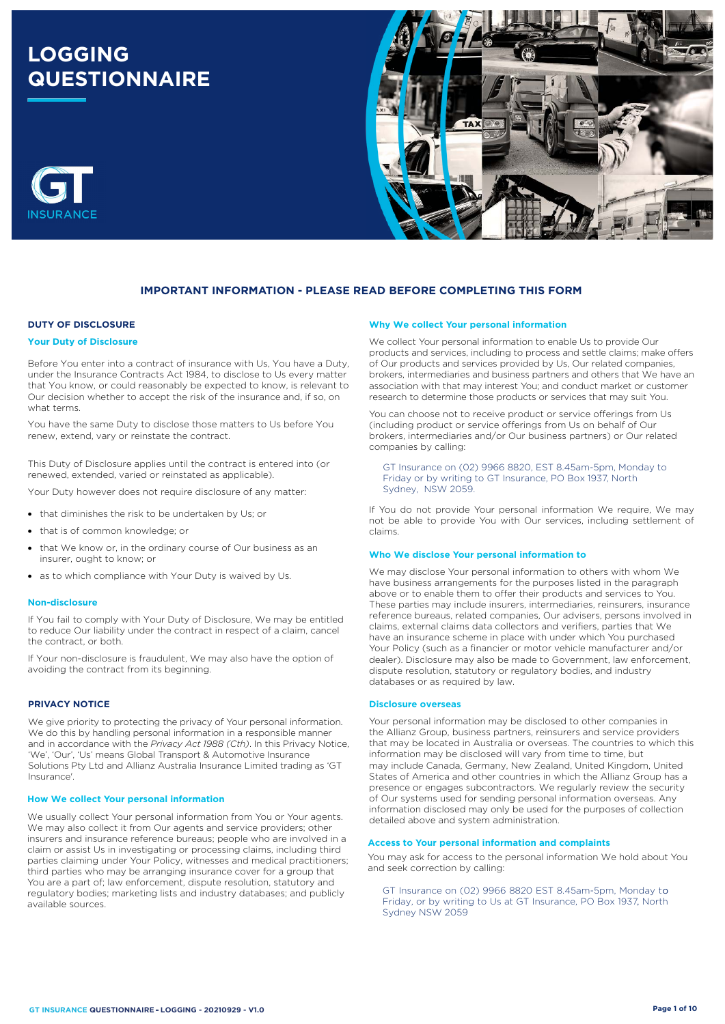# **LOGGING QUESTIONNAIRE**



## **IMPORTANT INFORMATION - PLEASE READ BEFORE COMPLETING THIS FORM**

## **DUTY OF DISCLOSURE**

#### **Your Duty of Disclosure**

Before You enter into a contract of insurance with Us, You have a Duty, under the Insurance Contracts Act 1984, to disclose to Us every matter that You know, or could reasonably be expected to know, is relevant to Our decision whether to accept the risk of the insurance and, if so, on what terms.

You have the same Duty to disclose those matters to Us before You renew, extend, vary or reinstate the contract.

This Duty of Disclosure applies until the contract is entered into (or renewed, extended, varied or reinstated as applicable).

Your Duty however does not require disclosure of any matter:

- that diminishes the risk to be undertaken by Us; or
- that is of common knowledge; or
- that We know or, in the ordinary course of Our business as an insurer, ought to know; or
- as to which compliance with Your Duty is waived by Us.

#### **Non-disclosure**

If You fail to comply with Your Duty of Disclosure, We may be entitled to reduce Our liability under the contract in respect of a claim, cancel the contract, or both.

If Your non-disclosure is fraudulent, We may also have the option of avoiding the contract from its beginning.

### **PRIVACY NOTICE**

We give priority to protecting the privacy of Your personal information. We do this by handling personal information in a responsible manner and in accordance with the *Privacy Act 1988 (Cth)*. In this Privacy Notice, 'We', 'Our', 'Us' means Global Transport & Automotive Insurance Solutions Pty Ltd and Allianz Australia Insurance Limited trading as 'GT Insurance'.

#### **How We collect Your personal information**

We usually collect Your personal information from You or Your agents. We may also collect it from Our agents and service providers; other insurers and insurance reference bureaus; people who are involved in a claim or assist Us in investigating or processing claims, including third parties claiming under Your Policy, witnesses and medical practitioners; third parties who may be arranging insurance cover for a group that You are a part of; law enforcement, dispute resolution, statutory and regulatory bodies; marketing lists and industry databases; and publicly available sources.

#### **Why We collect Your personal information**

We collect Your personal information to enable Us to provide Our products and services, including to process and settle claims; make offers of Our products and services provided by Us, Our related companies, brokers, intermediaries and business partners and others that We have an association with that may interest You; and conduct market or customer research to determine those products or services that may suit You.

You can choose not to receive product or service offerings from Us (including product or service offerings from Us on behalf of Our brokers, intermediaries and/or Our business partners) or Our related companies by calling:

GT Insurance on (02) 9966 8820, EST 8.45am-5pm, Monday to Friday or by writing to GT Insurance, PO Box 1937, North Sydney, NSW 2059.

If You do not provide Your personal information We require, We may not be able to provide You with Our services, including settlement of claims.

#### **Who We disclose Your personal information to**

We may disclose Your personal information to others with whom We have business arrangements for the purposes listed in the paragraph above or to enable them to offer their products and services to You. These parties may include insurers, intermediaries, reinsurers, insurance reference bureaus, related companies, Our advisers, persons involved in claims, external claims data collectors and verifiers, parties that We have an insurance scheme in place with under which You purchased Your Policy (such as a financier or motor vehicle manufacturer and/or dealer). Disclosure may also be made to Government, law enforcement, dispute resolution, statutory or regulatory bodies, and industry databases or as required by law.

#### **Disclosure overseas**

Your personal information may be disclosed to other companies in the Allianz Group, business partners, reinsurers and service providers that may be located in Australia or overseas. The countries to which this information may be disclosed will vary from time to time, but may include Canada, Germany, New Zealand, United Kingdom, United States of America and other countries in which the Allianz Group has a presence or engages subcontractors. We regularly review the security of Our systems used for sending personal information overseas. Any information disclosed may only be used for the purposes of collection detailed above and system administration.

## **Access to Your personal information and complaints**

You may ask for access to the personal information We hold about You and seek correction by calling:

, Friday, or by writing to Us at GT Insurance, PO Box 1937, North GT Insurance on (02) 9966 8820 EST 8.45am-5pm, Monday to Sydney NSW 2059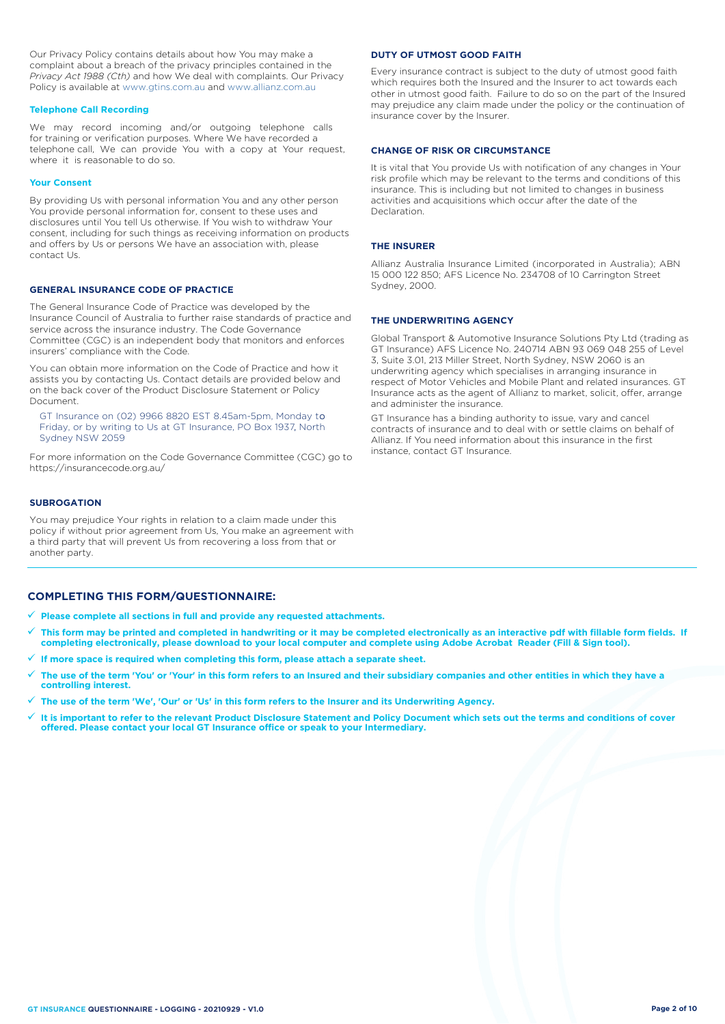Our Privacy Policy contains details about how You may make a complaint about a breach of the privacy principles contained in the *Privacy Act 1988 (Cth)* and how We deal with complaints. Our Privacy Policy is available at [www.gtins.com.au](https://www.gtins.com.au/documents-and-policies/) and [www.allianz.com.au](https://www.allianz.com.au/about-us/privacy/)

#### **Telephone Call Recording**

We may record incoming and/or outgoing telephone calls for training or verification purposes. Where We have recorded a telephone call, We can provide You with a copy at Your request, where it is reasonable to do so.

#### **Your Consent**

By providing Us with personal information You and any other person You provide personal information for, consent to these uses and disclosures until You tell Us otherwise. If You wish to withdraw Your consent, including for such things as receiving information on products and offers by Us or persons We have an association with, please contact Us.

### **GENERAL INSURANCE CODE OF PRACTICE**

The General Insurance Code of Practice was developed by the Insurance Council of Australia to further raise standards of practice and service across the insurance industry. The Code Governance Committee (CGC) is an independent body that monitors and enforces insurers' compliance with the Code.

You can obtain more information on the Code of Practice and how it assists you by contacting Us. Contact details are provided below and on the back cover of the Product Disclosure Statement or Policy Document.

, Friday, or by writing to Us at GT Insurance, PO Box 1937, North GT Insurance on (02) 9966 8820 EST 8.45am-5pm, Monday to Sydney NSW 2059

For more information on the Code Governance Committee (CGC) go to <https://insurancecode.org.au/>

### **SUBROGATION**

You may prejudice Your rights in relation to a claim made under this policy if without prior agreement from Us, You make an agreement with a third party that will prevent Us from recovering a loss from that or another party.

#### **DUTY OF UTMOST GOOD FAITH**

Every insurance contract is subject to the duty of utmost good faith which requires both the Insured and the Insurer to act towards each other in utmost good faith. Failure to do so on the part of the Insured may prejudice any claim made under the policy or the continuation of insurance cover by the Insurer.

#### **CHANGE OF RISK OR CIRCUMSTANCE**

It is vital that You provide Us with notification of any changes in Your risk profile which may be relevant to the terms and conditions of this insurance. This is including but not limited to changes in business activities and acquisitions which occur after the date of the Declaration.

#### **THE INSURER**

Allianz Australia Insurance Limited (incorporated in Australia); ABN 15 000 122 850; AFS Licence No. 234708 of 10 Carrington Street Sydney, 2000.

### **THE UNDERWRITING AGENCY**

Global Transport & Automotive Insurance Solutions Pty Ltd (trading as GT Insurance) AFS Licence No. 240714 ABN 93 069 048 255 of Level 3, Suite 3.01, 213 Miller Street, North Sydney, NSW 2060 is an underwriting agency which specialises in arranging insurance in respect of Motor Vehicles and Mobile Plant and related insurances. GT Insurance acts as the agent of Allianz to market, solicit, offer, arrange and administer the insurance.

GT Insurance has a binding authority to issue, vary and cancel contracts of insurance and to deal with or settle claims on behalf of Allianz. If You need information about this insurance in the first instance, contact GT Insurance.

## **COMPLETING THIS FORM/QUESTIONNAIRE:**

**Please complete all sections in full and provide any requested attachments.**

- **This form may be printed and completed in handwriting or it may be completed electronically as an interactive pdf with fillable form fields. If completing electronically, please download to your local computer and complete using Adobe Acrobat Reader (Fill & Sign tool).**
- **If more space is required when completing this form, please attach a separate sheet.**
- **The use of the term 'You' or 'Your' in this form refers to an Insured and their subsidiary companies and other entities in which they have a controlling interest.**
- **The use of the term 'We', 'Our' or 'Us' in this form refers to the Insurer and its Underwriting Agency.**
- **It is important to refer to the relevant Product Disclosure Statement and Policy Document which sets out the terms and conditions of cover offered. Please contact your local GT Insurance office or speak to your Intermediary.**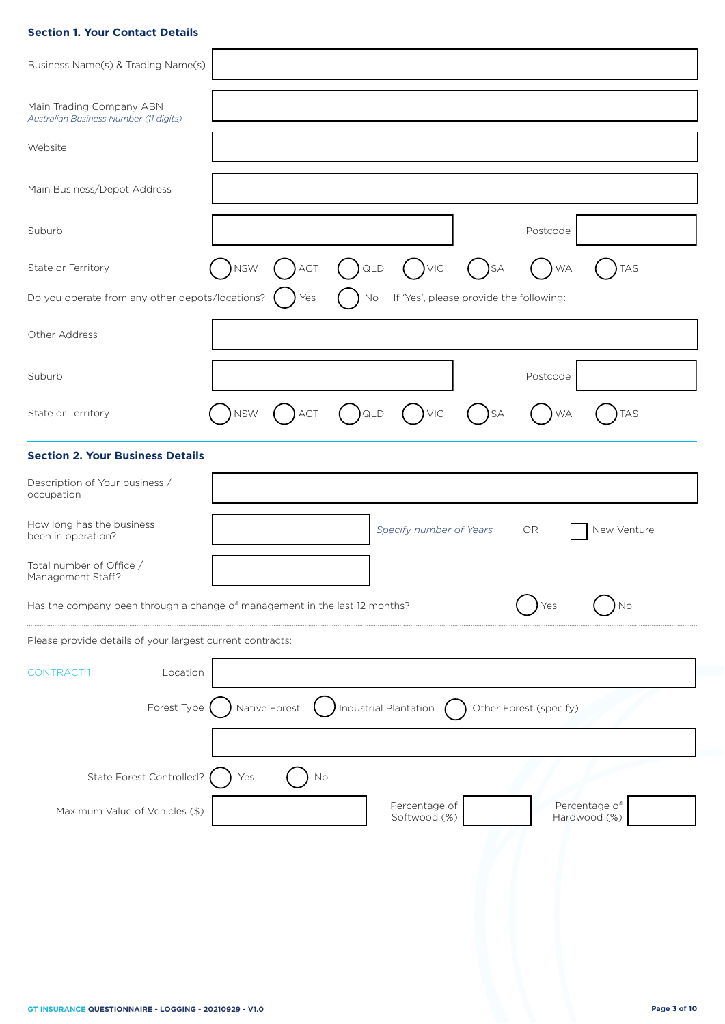## **Section 1. Your Contact Details**

| Business Name(s) & Trading Name(s)                                 |                                                                                         |
|--------------------------------------------------------------------|-----------------------------------------------------------------------------------------|
| Main Trading Company ABN<br>Australian Business Number (11 digits) |                                                                                         |
| Website                                                            |                                                                                         |
| Main Business/Depot Address                                        |                                                                                         |
| Suburb                                                             | Postcode                                                                                |
| State or Territory                                                 | <b>NSW</b><br><b>VIC</b><br>)sa<br>QLD<br><b>TAS</b><br>ACT<br><b>WA</b>                |
| Do you operate from any other depots/locations?                    | If 'Yes', please provide the following:<br>No<br>Yes                                    |
| Other Address                                                      |                                                                                         |
| Suburb                                                             | Postcode                                                                                |
| State or Territory                                                 | <b>NSW</b><br>$)$ QLD<br>$\bigcup$ VIC<br>$)$ act<br><b>TAS</b><br>)SA<br><b>WA</b>     |
| <b>Section 2. Your Business Details</b>                            |                                                                                         |
| Description of Your business /<br>occupation                       |                                                                                         |
| How long has the business<br>been in operation?                    | Specify number of Years<br>New Venture<br>OR.                                           |
| Total number of Office /<br>Management Staff?                      |                                                                                         |
|                                                                    | Has the company been through a change of management in the last 12 months?<br>No<br>Yes |
| Please provide details of your largest current contracts:          |                                                                                         |
| <b>CONTRACT1</b><br>Location                                       |                                                                                         |
| Forest Type                                                        | Native Forest<br>Industrial Plantation<br>Other Forest (specify)                        |
|                                                                    |                                                                                         |
| State Forest Controlled?                                           | Yes<br>No                                                                               |
| Maximum Value of Vehicles (\$)                                     | Percentage of<br>Percentage of<br>Softwood (%)<br>Hardwood (%)                          |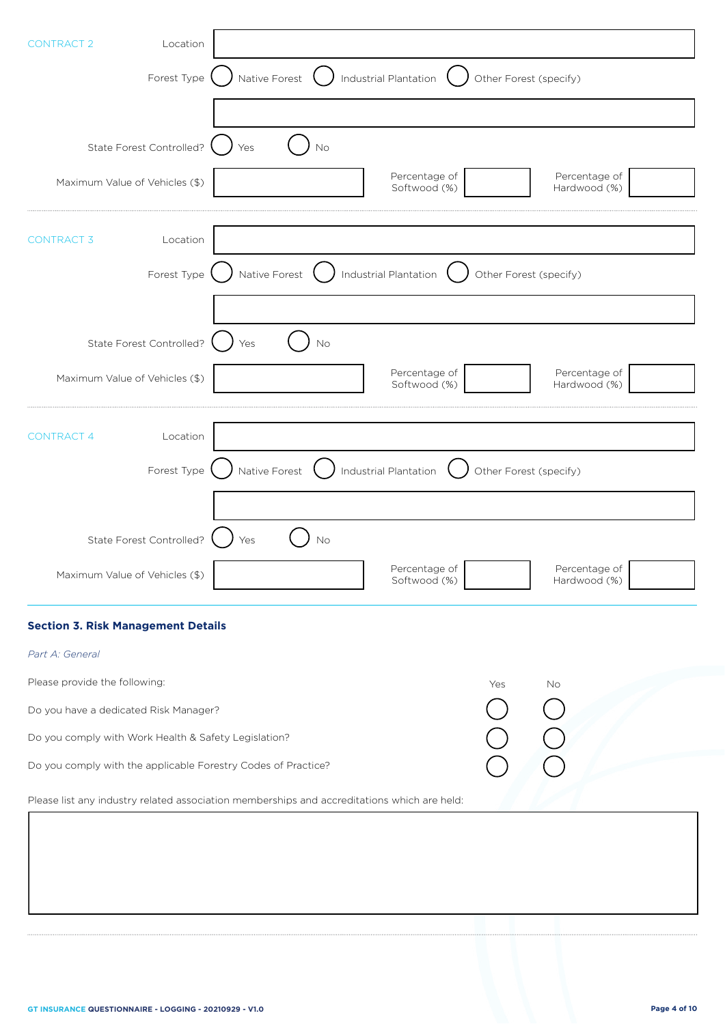| Location<br><b>CONTRACT 2</b>                                 |                                                                                             |
|---------------------------------------------------------------|---------------------------------------------------------------------------------------------|
| Forest Type                                                   | Native Forest<br>Industrial Plantation<br>Other Forest (specify)                            |
|                                                               |                                                                                             |
| State Forest Controlled?                                      | No<br>Yes                                                                                   |
| Maximum Value of Vehicles (\$)                                | Percentage of<br>Percentage of<br>Softwood (%)<br>Hardwood (%)                              |
| <b>CONTRACT 3</b><br>Location                                 |                                                                                             |
| Forest Type                                                   | Native Forest<br>Industrial Plantation<br>Other Forest (specify)                            |
| State Forest Controlled?                                      | No<br>Yes                                                                                   |
| Maximum Value of Vehicles (\$)                                | Percentage of<br>Percentage of<br>Softwood (%)<br>Hardwood (%)                              |
| Location<br><b>CONTRACT 4</b>                                 |                                                                                             |
| Forest Type                                                   | Native Forest<br>Industrial Plantation<br>Other Forest (specify)                            |
| State Forest Controlled?                                      | No<br>Yes                                                                                   |
| Maximum Value of Vehicles (\$)                                | Percentage of<br>Percentage of<br>Softwood (%)<br>Hardwood (%)                              |
| <b>Section 3. Risk Management Details</b>                     |                                                                                             |
| Part A: General                                               |                                                                                             |
| Please provide the following:                                 | Yes<br>No                                                                                   |
| Do you have a dedicated Risk Manager?                         |                                                                                             |
| Do you comply with Work Health & Safety Legislation?          |                                                                                             |
| Do you comply with the applicable Forestry Codes of Practice? |                                                                                             |
|                                                               | Please list any industry related association memberships and accreditations which are held: |
|                                                               |                                                                                             |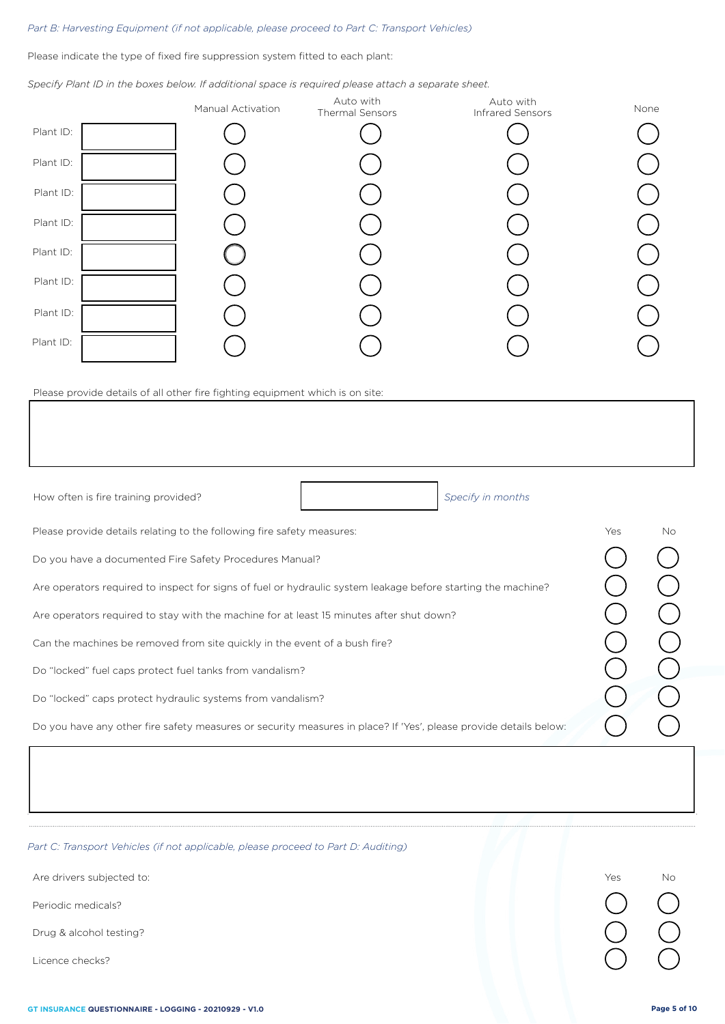## *Part B: Harvesting Equipment (if not applicable, please proceed to Part C: Transport Vehicles)*

Please indicate the type of fixed fire suppression system fitted to each plant:

*Specify Plant ID in the boxes below. If additional space is required please attach a separate sheet.*

|           | Manual Activation | Auto with<br>Thermal Sensors | Auto with<br>Infrared Sensors | None |
|-----------|-------------------|------------------------------|-------------------------------|------|
| Plant ID: |                   |                              |                               |      |
| Plant ID: |                   |                              |                               |      |
| Plant ID: |                   |                              |                               |      |
| Plant ID: |                   |                              |                               |      |
| Plant ID: |                   |                              |                               |      |
| Plant ID: |                   |                              |                               |      |
| Plant ID: |                   |                              |                               |      |
| Plant ID: |                   |                              |                               |      |

Please provide details of all other fire fighting equipment which is on site:

| How often is fire training provided?<br>Specify in months                                                         |     |    |
|-------------------------------------------------------------------------------------------------------------------|-----|----|
| Please provide details relating to the following fire safety measures:                                            | Yes | No |
| Do you have a documented Fire Safety Procedures Manual?                                                           |     |    |
| Are operators required to inspect for signs of fuel or hydraulic system leakage before starting the machine?      |     |    |
| Are operators required to stay with the machine for at least 15 minutes after shut down?                          |     |    |
| Can the machines be removed from site quickly in the event of a bush fire?                                        |     |    |
| Do "locked" fuel caps protect fuel tanks from vandalism?                                                          |     |    |
| Do "locked" caps protect hydraulic systems from vandalism?                                                        |     |    |
| Do you have any other fire safety measures or security measures in place? If 'Yes', please provide details below: |     |    |
|                                                                                                                   |     |    |

*Part C: Transport Vehicles (if not applicable, please proceed to Part D: Auditing)*

Periodic medicals?

Drug & alcohol testing?

Licence checks?

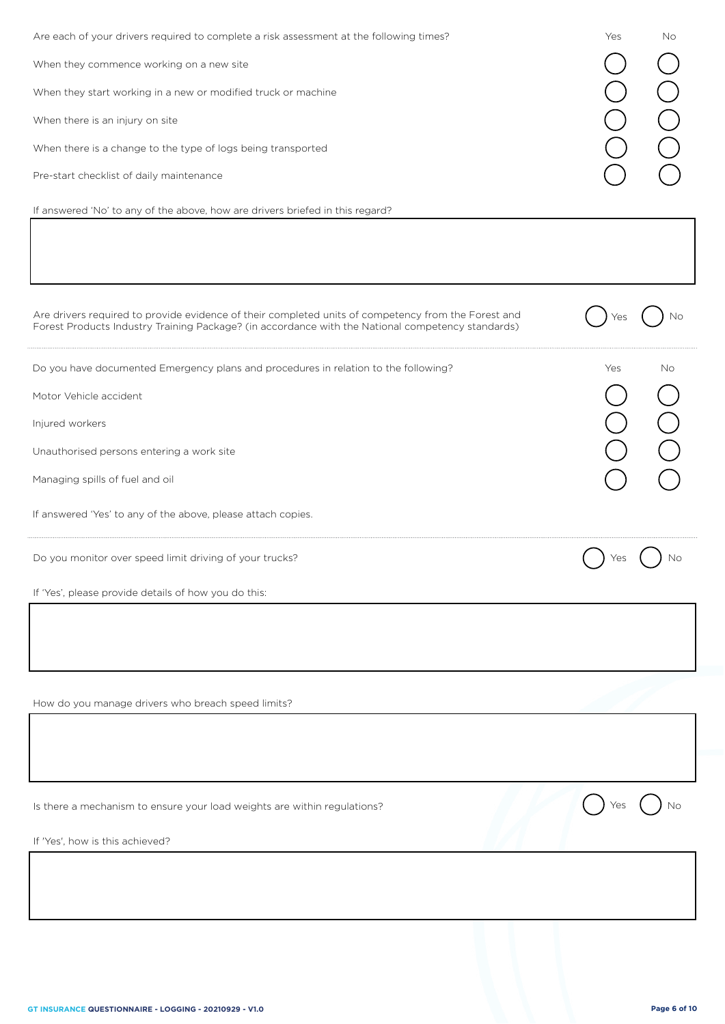| Are each of your drivers required to complete a risk assessment at the following times?<br>When they commence working on a new site<br>When they start working in a new or modified truck or machine<br>When there is an injury on site<br>When there is a change to the type of logs being transported<br>Pre-start checklist of daily maintenance<br>If answered 'No' to any of the above, how are drivers briefed in this regard? | Yes<br>No |
|--------------------------------------------------------------------------------------------------------------------------------------------------------------------------------------------------------------------------------------------------------------------------------------------------------------------------------------------------------------------------------------------------------------------------------------|-----------|
| Are drivers required to provide evidence of their completed units of competency from the Forest and<br>Forest Products Industry Training Package? (in accordance with the National competency standards)                                                                                                                                                                                                                             | Νo<br>Yes |
| Do you have documented Emergency plans and procedures in relation to the following?<br>Motor Vehicle accident<br>Injured workers                                                                                                                                                                                                                                                                                                     | No<br>Yes |
| Unauthorised persons entering a work site<br>Managing spills of fuel and oil<br>If answered 'Yes' to any of the above, please attach copies.                                                                                                                                                                                                                                                                                         |           |
| Do you monitor over speed limit driving of your trucks?<br>If 'Yes', please provide details of how you do this:                                                                                                                                                                                                                                                                                                                      | Νo<br>Yes |
| How do you manage drivers who breach speed limits?                                                                                                                                                                                                                                                                                                                                                                                   |           |
| Is there a mechanism to ensure your load weights are within regulations?                                                                                                                                                                                                                                                                                                                                                             |           |
| If 'Yes', how is this achieved?                                                                                                                                                                                                                                                                                                                                                                                                      |           |
|                                                                                                                                                                                                                                                                                                                                                                                                                                      |           |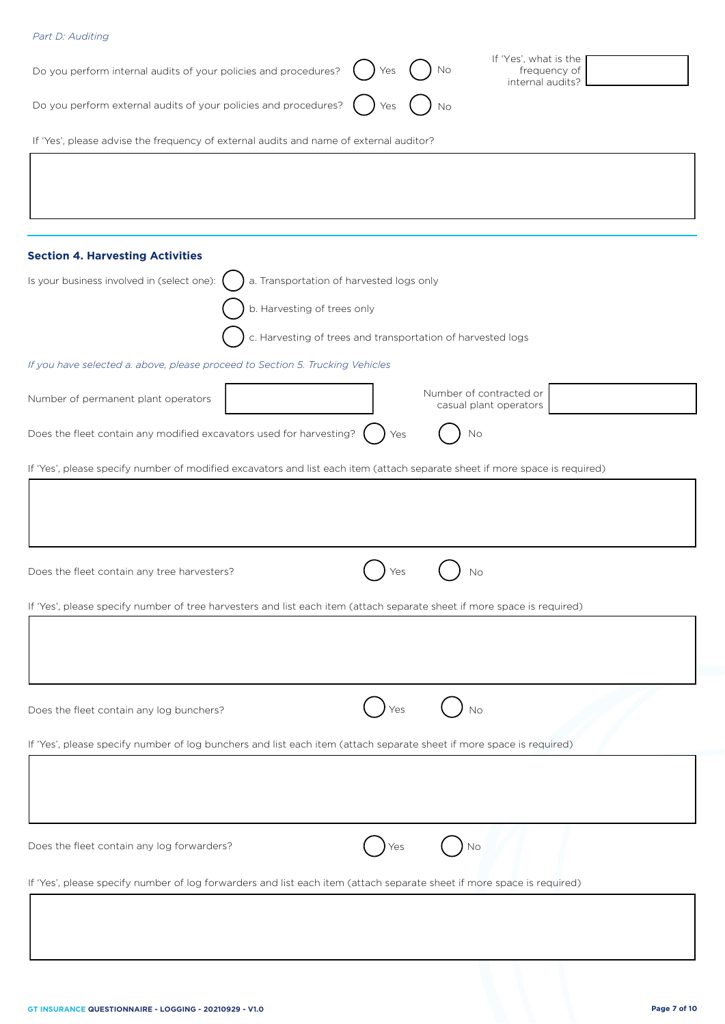| Part D: Auditing                                                                       |                                                                                                                             |
|----------------------------------------------------------------------------------------|-----------------------------------------------------------------------------------------------------------------------------|
| Do you perform internal audits of your policies and procedures?                        | If 'Yes', what is the<br>frequency of<br>No<br>Yes<br>internal audits?                                                      |
| Do you perform external audits of your policies and procedures?                        | Yes<br>No                                                                                                                   |
| If 'Yes', please advise the frequency of external audits and name of external auditor? |                                                                                                                             |
|                                                                                        |                                                                                                                             |
|                                                                                        |                                                                                                                             |
|                                                                                        |                                                                                                                             |
| <b>Section 4. Harvesting Activities</b>                                                |                                                                                                                             |
| Is your business involved in (select one):                                             | a. Transportation of harvested logs only                                                                                    |
|                                                                                        | b. Harvesting of trees only                                                                                                 |
|                                                                                        | c. Harvesting of trees and transportation of harvested logs                                                                 |
| If you have selected a. above, please proceed to Section 5. Trucking Vehicles          |                                                                                                                             |
| Number of permanent plant operators                                                    | Number of contracted or<br>casual plant operators                                                                           |
| Does the fleet contain any modified excavators used for harvesting?                    | No<br>Yes                                                                                                                   |
|                                                                                        | If 'Yes', please specify number of modified excavators and list each item (attach separate sheet if more space is required) |
|                                                                                        |                                                                                                                             |
|                                                                                        |                                                                                                                             |
|                                                                                        |                                                                                                                             |
| Does the fleet contain any tree harvesters?                                            | Yes<br>No                                                                                                                   |
|                                                                                        | If 'Yes', please specify number of tree harvesters and list each item (attach separate sheet if more space is required)     |
|                                                                                        |                                                                                                                             |
|                                                                                        |                                                                                                                             |
|                                                                                        |                                                                                                                             |
| Does the fleet contain any log bunchers?                                               | No                                                                                                                          |
|                                                                                        |                                                                                                                             |
|                                                                                        | If 'Yes', please specify number of log bunchers and list each item (attach separate sheet if more space is required)        |
|                                                                                        |                                                                                                                             |
|                                                                                        |                                                                                                                             |
| Does the fleet contain any log forwarders?                                             | No                                                                                                                          |
|                                                                                        |                                                                                                                             |
|                                                                                        | If 'Yes', please specify number of log forwarders and list each item (attach separate sheet if more space is required)      |
|                                                                                        |                                                                                                                             |
|                                                                                        |                                                                                                                             |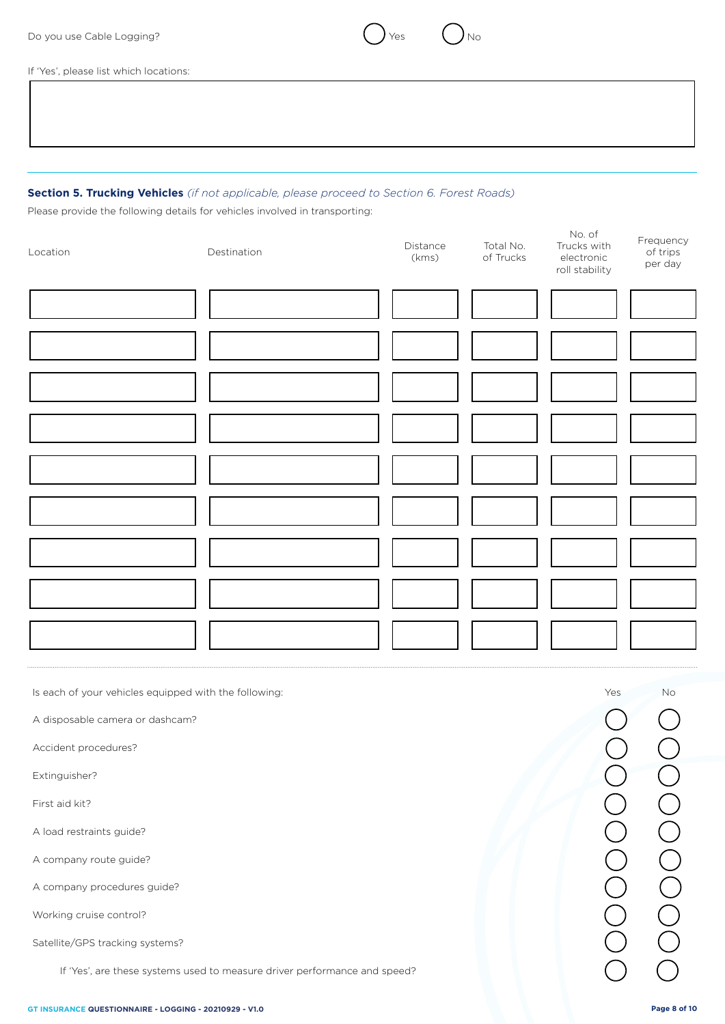

If 'Yes', please list which locations:

## **Section 5. Trucking Vehicles** *(if not applicable, please proceed to Section 6. Forest Roads)*

Please provide the following details for vehicles involved in transporting:

| Location | Total No.<br>Distance<br>Destination<br>of Trucks<br>(kms) |  | No. of<br>Trucks with<br>$\sf{electronic}$<br>roll stability | Frequency<br>of trips<br>per day |
|----------|------------------------------------------------------------|--|--------------------------------------------------------------|----------------------------------|
|          |                                                            |  |                                                              |                                  |
|          |                                                            |  |                                                              |                                  |
|          |                                                            |  |                                                              |                                  |
|          |                                                            |  |                                                              |                                  |
|          |                                                            |  |                                                              |                                  |
|          |                                                            |  |                                                              |                                  |
|          |                                                            |  |                                                              |                                  |
|          |                                                            |  |                                                              |                                  |
|          |                                                            |  |                                                              |                                  |

Is each of your vehicles equipped with the following: No was not all the following: No was not all the following: No was not all the following: No was not all the following: No was not all the following: No was not all the

A disposable camera or dashcam?

Accident procedures?

Extinguisher?

First aid kit?

A load restraints guide?

A company route guide?

A company procedures guide?

Working cruise control?

Satellite/GPS tracking systems?

If 'Yes', are these systems used to measure driver performance and speed?

DOOOOOOO OOOOOOOO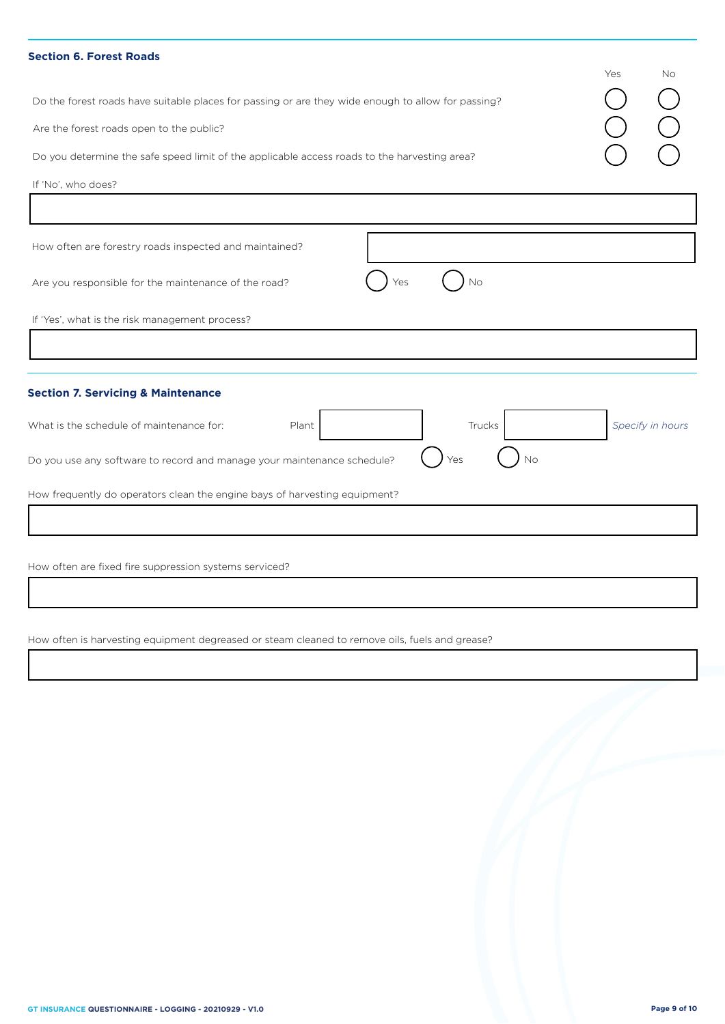| <b>Section 6. Forest Roads</b>                                                                                                                                                                                                                                       |     |                  |
|----------------------------------------------------------------------------------------------------------------------------------------------------------------------------------------------------------------------------------------------------------------------|-----|------------------|
| Do the forest roads have suitable places for passing or are they wide enough to allow for passing?<br>Are the forest roads open to the public?<br>Do you determine the safe speed limit of the applicable access roads to the harvesting area?<br>If 'No', who does? | Yes | <b>No</b>        |
|                                                                                                                                                                                                                                                                      |     |                  |
| How often are forestry roads inspected and maintained?                                                                                                                                                                                                               |     |                  |
| No<br>Are you responsible for the maintenance of the road?<br>Yes                                                                                                                                                                                                    |     |                  |
| If 'Yes', what is the risk management process?                                                                                                                                                                                                                       |     |                  |
|                                                                                                                                                                                                                                                                      |     |                  |
| <b>Section 7. Servicing &amp; Maintenance</b>                                                                                                                                                                                                                        |     |                  |
| What is the schedule of maintenance for:<br>Plant<br>Trucks                                                                                                                                                                                                          |     | Specify in hours |
| Do you use any software to record and manage your maintenance schedule?<br>Νo<br>Yes                                                                                                                                                                                 |     |                  |
| How frequently do operators clean the engine bays of harvesting equipment?                                                                                                                                                                                           |     |                  |
|                                                                                                                                                                                                                                                                      |     |                  |
|                                                                                                                                                                                                                                                                      |     |                  |
| How often are fixed fire suppression systems serviced?                                                                                                                                                                                                               |     |                  |

How often is harvesting equipment degreased or steam cleaned to remove oils, fuels and grease?